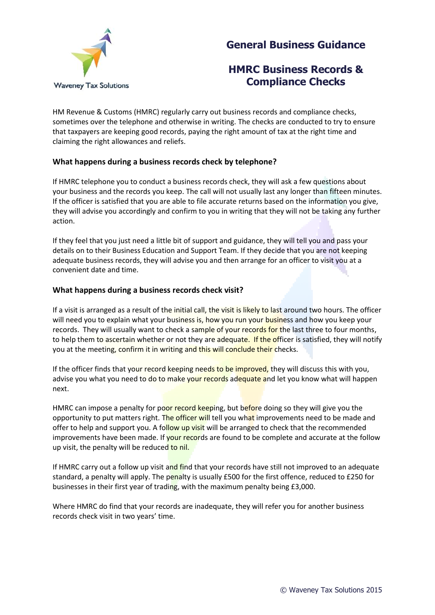



# **HMRC Business Records & Compliance Checks**

HM Revenue & Customs (HMRC) regularly carry out business records and compliance checks, sometimes over the telephone and otherwise in writing. The checks are conducted to try to ensure that taxpayers are keeping good records, paying the right amount of tax at the right time and claiming the right allowances and reliefs.

# **What happens during a business records check by telephone?**

If HMRC telephone you to conduct a business records check, they will ask a few questions about your business and the records you keep. The call will not usually last any longer than fifteen minutes. If the officer is satisfied that you are able to file accurate returns based on the information you give, they will advise you accordingly and confirm to you in writing that they will not be taking any further action.

If they feel that you just need a little bit of support and guidance, they will tell you and pass your details on to their Business Education and Support Team. If they decide that you are not keeping adequate business records, they will advise you and then arrange for an officer to visit you at a convenient date and time.

### **What happens during a business records check visit?**

If a visit is arranged as a result of the initial call, the visit is likely to last around two hours. The officer will need you to explain what your business is, how you run your business and how you keep your records. They will usually want to check a sample of your records for the last three to four months, to help them to ascertain whether or not they are adequate. If the officer is satisfied, they will notify you at the meeting, confirm it in writing and this will conclude their checks.

If the officer finds that your record keeping needs to be improved, they will discuss this with you, advise you what you need to do to make your records adequate and let you know what will happen next.

HMRC can impose a penalty for poor record keeping, but before doing so they will give you the opportunity to put matters right. The officer will tell you what improvements need to be made and offer to help and support you. A follow up visit will be arranged to check that the recommended improvements have been made. If your records are found to be complete and accurate at the follow up visit, the penalty will be reduced to nil.

If HMRC carry out a follow up visit and find that your records have still not improved to an adequate standard, a penalty will apply. The penalty is usually £500 for the first offence, reduced to £250 for businesses in their first year of trading, with the maximum penalty being £3,000.

Where HMRC do find that your records are inadequate, they will refer you for another business records check visit in two years' time.